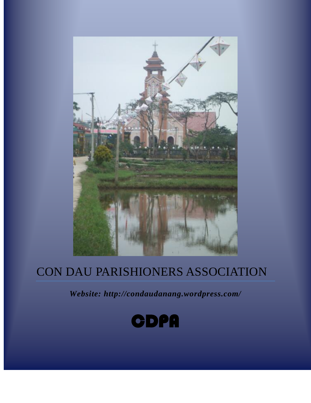

*Website: http://condaudanang.wordpress.com/*

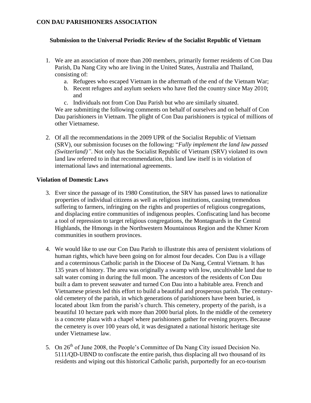# **Submission to the Universal Periodic Review of the Socialist Republic of Vietnam**

- 1. We are an association of more than 200 members, primarily former residents of Con Dau Parish, Da Nang City who are living in the United States, Australia and Thailand, consisting of:
	- a. Refugees who escaped Vietnam in the aftermath of the end of the Vietnam War;
	- b. Recent refugees and asylum seekers who have fled the country since May 2010; and
	- c. Individuals not from Con Dau Parish but who are similarly situated.

We are submitting the following comments on behalf of ourselves and on behalf of Con Dau parishioners in Vietnam. The plight of Con Dau parishioners is typical of millions of other Vietnamese.

2. Of all the recommendations in the 2009 UPR of the Socialist Republic of Vietnam (SRV), our submission focuses on the following: "*Fully implement the land law passed (Switzerland)"*. Not only has the Socialist Republic of Vietnam (SRV) violated its own land law referred to in that recommendation, this land law itself is in violation of international laws and international agreements.

## **Violation of Domestic Laws**

- 3. Ever since the passage of its 1980 Constitution, the SRV has passed laws to nationalize properties of individual citizens as well as religious institutions, causing tremendous suffering to farmers, infringing on the rights and properties of religious congregations, and displacing entire communities of indigenous peoples. Confiscating land has become a tool of repression to target religious congregations, the Montagnards in the Central Highlands, the Hmongs in the Northwestern Mountainous Region and the Khmer Krom communities in southern provinces.
- 4. We would like to use our Con Dau Parish to illustrate this area of persistent violations of human rights, which have been going on for almost four decades. Con Dau is a village and a coterminous Catholic parish in the Diocese of Da Nang, Central Vietnam. It has 135 years of history. The area was originally a swamp with low, uncultivable land due to salt water coming in during the full moon. The ancestors of the residents of Con Dau built a dam to prevent seawater and turned Con Dau into a habitable area. French and Vietnamese priests led this effort to build a beautiful and prosperous parish. The centuryold cemetery of the parish, in which generations of parishioners have been buried, is located about 1km from the parish's church. This cemetery, property of the parish, is a beautiful 10 hectare park with more than 2000 burial plots. In the middle of the cemetery is a concrete plaza with a chapel where parishioners gather for evening prayers. Because the cemetery is over 100 years old, it was designated a national historic heritage site under Vietnamese law.
- 5. On 26<sup>th</sup> of June 2008, the People's Committee of Da Nang City issued Decision No. 5111/QD-UBND to confiscate the entire parish, thus displacing all two thousand of its residents and wiping out this historical Catholic parish, purportedly for an eco-tourism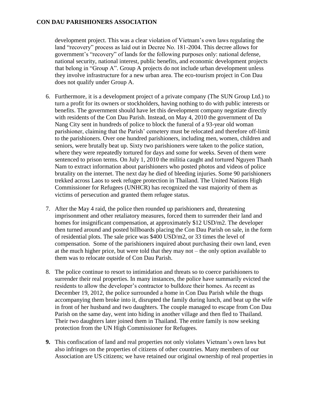development project. This was a clear violation of Vietnam's own laws regulating the land "recovery" process as laid out in Decree No. 181-2004. This decree allows for government's "recovery" of lands for the following purposes only: national defense, national security, national interest, public benefits, and economic development projects that belong in "Group A". Group A projects do not include urban development unless they involve infrastructure for a new urban area. The eco-tourism project in Con Dau does not qualify under Group A.

- 6. Furthermore, it is a development project of a private company (The SUN Group Ltd.) to turn a profit for its owners or stockholders, having nothing to do with public interests or benefits. The government should have let this development company negotiate directly with residents of the Con Dau Parish. Instead, on May 4, 2010 the government of Da Nang City sent in hundreds of police to block the funeral of a 93-year old woman parishioner, claiming that the Parish' cemetery must be relocated and therefore off-limit to the parishioners. Over one hundred parishioners, including men, women, children and seniors, were brutally beat up. Sixty two parishioners were taken to the police station, where they were repeatedly tortured for days and some for weeks. Seven of them were sentenced to prison terms. On July 1, 2010 the militia caught and tortured Nguyen Thanh Nam to extract information about parishioners who posted photos and videos of police brutality on the internet. The next day he died of bleeding injuries. Some 90 parishioners trekked across Laos to seek refugee protection in Thailand. The United Nations High Commissioner for Refugees (UNHCR) has recognized the vast majority of them as victims of persecution and granted them refugee status.
- 7. After the May 4 raid, the police then rounded up parishioners and, threatening imprisonment and other retaliatory measures, forced them to surrender their land and homes for insignificant compensation, at approximately \$12 USD/m2. The developer then turned around and posted billboards placing the Con Dau Parish on sale, in the form of residential plots. The sale price was \$400 USD/m2, or 33 times the level of compensation. Some of the parishioners inquired about purchasing their own land, even at the much higher price, but were told that they may not – the only option available to them was to relocate outside of Con Dau Parish.
- 8. The police continue to resort to intimidation and threats so to coerce parishioners to surrender their real properties. In many instances, the police have summarily evicted the residents to allow the developer's contractor to bulldoze their homes. As recent as December 19, 2012, the police surrounded a home in Con Dau Parish while the thugs accompanying them broke into it, disrupted the family during lunch, and beat up the wife in front of her husband and two daughters. The couple managed to escape from Con Dau Parish on the same day, went into hiding in another village and then fled to Thailand. Their two daughters later joined them in Thailand. The entire family is now seeking protection from the UN High Commissioner for Refugees.
- **9.** This confiscation of land and real properties not only violates Vietnam's own laws but also infringes on the properties of citizens of other countries. Many members of our Association are US citizens; we have retained our original ownership of real properties in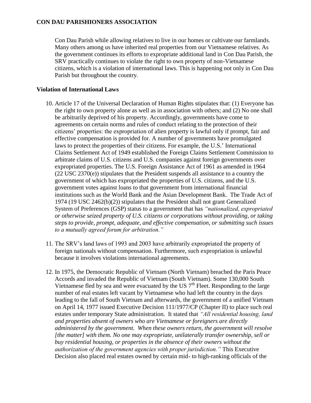Con Dau Parish while allowing relatives to live in our homes or cultivate our farmlands. Many others among us have inherited real properties from our Vietnamese relatives. As the government continues its efforts to expropriate additional land in Con Dau Parish, the SRV practically continues to violate the right to own property of non-Vietnamese citizens, which is a violation of international laws. This is happening not only in Con Dau Parish but throughout the country.

## **Violation of International Laws**

- 10. Article 17 of the Universal Declaration of Human Rights stipulates that: (1) Everyone has the right to own property alone as well as in association with others; and (2) No one shall be arbitrarily deprived of his property. Accordingly, governments have come to agreements on certain norms and rules of conduct relating to the protection of their citizens' properties: the expropriation of alien property is lawful only if prompt, fair and effective compensation is provided for. A number of governments have promulgated laws to protect the properties of their citizens. For example, the U.S.' International Claims Settlement Act of 1949 established the Foreign Claims Settlement Commission to arbitrate claims of U.S. citizens and U.S. companies against foreign governments over expropriated properties. The U.S. Foreign Assistance Act of 1961 as amended in 1964 (22 USC 2370(e)) stipulates that the President suspends all assistance to a country the government of which has expropriated the properties of U.S. citizens, and the U.S. government votes against loans to that government from international financial institutions such as the World Bank and the Asian Development Bank. The Trade Act of 1974 (19 USC 2462(b)(2)) stipulates that the President shall not grant Generalized System of Preferences (GSP) status to a government that has *"nationalized, expropriated or otherwise seized property of U.S. citizens or corporations without providing, or taking steps to provide, prompt, adequate, and effective compensation, or submitting such issues to a mutually agreed forum for arbitration."*
- 11. The SRV's land laws of 1993 and 2003 have arbitrarily expropriated the property of foreign nationals without compensation. Furthermore, such expropriation is unlawful because it involves violations international agreements.
- 12. In 1975, the Democratic Republic of Vietnam (North Vietnam) breached the Paris Peace Accords and invaded the Republic of Vietnam (South Vietnam). Some 130,000 South Vietnamese fled by sea and were evacuated by the US  $7<sup>th</sup>$  Fleet. Responding to the large number of real estates left vacant by Vietnamese who had left the country in the days leading to the fall of South Vietnam and afterwards, the government of a unified Vietnam on April 14, 1977 issued Executive Decision 111/1977/CP (Chapter II) to place such real estates under temporary State administration. It stated that *"All residential housing, land and properties absent of owners who are Vietnamese or foreigners are directly administered by the government. When these owners return, the government will resolve [the matter] with them. No one may expropriate, unilaterally transfer ownership, sell or buy residential housing, or properties in the absence of their owners without the authorization of the government agencies with proper jurisdiction."* This Executive Decision also placed real estates owned by certain mid- to high-ranking officials of the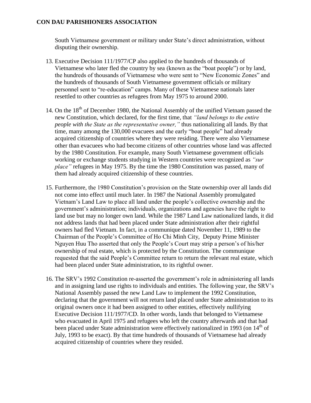South Vietnamese government or military under State's direct administration, without disputing their ownership.

- 13. Executive Decision 111/1977/CP also applied to the hundreds of thousands of Vietnamese who later fled the country by sea (known as the "boat people") or by land, the hundreds of thousands of Vietnamese who were sent to "New Economic Zones" and the hundreds of thousands of South Vietnamese government officials or military personnel sent to "re-education" camps. Many of these Vietnamese nationals later resettled to other countries as refugees from May 1975 to around 2000.
- 14. On the 18<sup>th</sup> of December 1980, the National Assembly of the unified Vietnam passed the new Constitution, which declared, for the first time, that *"land belongs to the entire people with the State as the representative owner,"* thus nationalizing all lands. By that time, many among the 130,000 evacuees and the early "boat people" had already acquired citizenship of countries where they were residing. There were also Vietnamese other than evacuees who had become citizens of other countries whose land was affected by the 1980 Constitution. For example, many South Vietnamese government officials working or exchange students studying in Western countries were recognized as *"sur place"* refugees in May 1975. By the time the 1980 Constitution was passed, many of them had already acquired citizenship of these countries.
- 15. Furthermore, the 1980 Constitution's provision on the State ownership over all lands did not come into effect until much later. In 1987 the National Assembly promulgated Vietnam's Land Law to place all land under the people's collective ownership and the government's administration; individuals, organizations and agencies have the right to land use but may no longer own land. While the 1987 Land Law nationalized lands, it did not address lands that had been placed under State administration after their rightful owners had fled Vietnam. In fact, in a communique dated November 11, 1989 to the Chairman of the People's Committee of Ho Chi Minh City, Deputy Prime Minister Nguyen Huu Tho asserted that only the People's Court may strip a person's of his/her ownership of real estate, which is protected by the Constitution. The communique requested that the said People's Committee return to return the relevant real estate, which had been placed under State administration, to its rightful owner.
- 16. The SRV's 1992 Constitution re-asserted the government's role in administering all lands and in assigning land use rights to individuals and entities. The following year, the SRV's National Assembly passed the new Land Law to implement the 1992 Constitution, declaring that the government will not return land placed under State administration to its original owners once it had been assigned to other entities, effectively nullifying Executive Decision 111/1977/CD. In other words, lands that belonged to Vietnamese who evacuated in April 1975 and refugees who left the country afterwards and that had been placed under State administration were effectively nationalized in 1993 (on 14<sup>th</sup> of July, 1993 to be exact). By that time hundreds of thousands of Vietnamese had already acquired citizenship of countries where they resided.